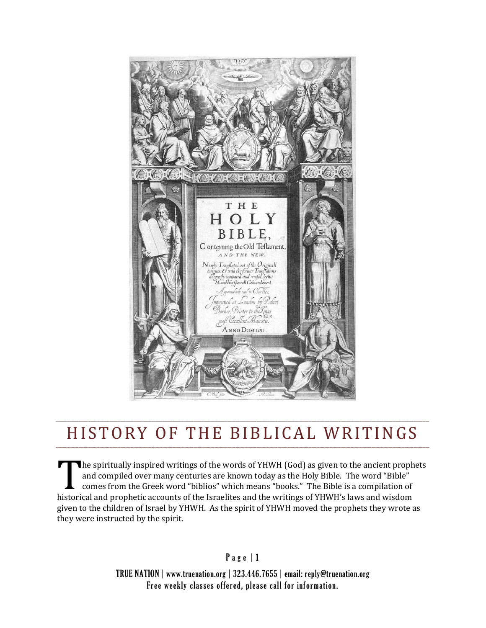

## HISTORY OF THE BIBLICAL WRITINGS

The spiritually inspired writings of the words of YHWH (God) as given to the ancient prophets and compiled over many centuries are known today as the Holy Bible. The word "Bible" comes from the Greek word "biblios" which means "books." The Bible is a compilation of and compiled over many centuries are known today as the Holy Bible. The word "Bible"<br>
comes from the Greek word "biblios" which means "books." The Bible is a compilation of<br>
historical and prophetic accounts of the Israeli given to the children of Israel by YHWH. As the spirit of YHWH moved the prophets they wrote as they were instructed by the spirit.

Page | 1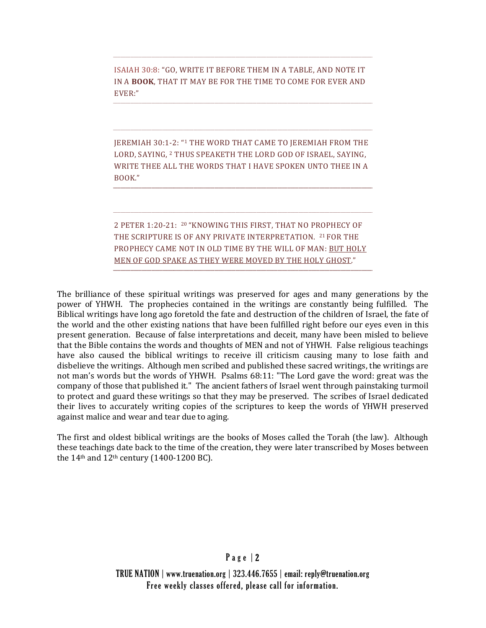ISAIAH 30:8: "GO, WRITE IT BEFORE THEM IN A TABLE, AND NOTE IT IN A **BOOK**, THAT IT MAY BE FOR THE TIME TO COME FOR EVER AND EVER:"

JEREMIAH 30:1-2: "1 THE WORD THAT CAME TO JEREMIAH FROM THE LORD, SAYING, 2 THUS SPEAKETH THE LORD GOD OF ISRAEL, SAYING, WRITE THEE ALL THE WORDS THAT I HAVE SPOKEN UNTO THEE IN A BOOK."

2 PETER 1:20-21: <sup>20</sup> "KNOWING THIS FIRST, THAT NO PROPHECY OF THE SCRIPTURE IS OF ANY PRIVATE INTERPRETATION. 21 FOR THE PROPHECY CAME NOT IN OLD TIME BY THE WILL OF MAN: BUT HOLY MEN OF GOD SPAKE AS THEY WERE MOVED BY THE HOLY GHOST."

The brilliance of these spiritual writings was preserved for ages and many generations by the power of YHWH. The prophecies contained in the writings are constantly being fulfilled. The Biblical writings have long ago foretold the fate and destruction of the children of Israel, the fate of the world and the other existing nations that have been fulfilled right before our eyes even in this present generation. Because of false interpretations and deceit, many have been misled to believe that the Bible contains the words and thoughts of MEN and not of YHWH. False religious teachings have also caused the biblical writings to receive ill criticism causing many to lose faith and disbelieve the writings. Although men scribed and published these sacred writings, the writings are not man's words but the words of YHWH. Psalms 68:11: "The Lord gave the word: great was the company of those that published it." The ancient fathers of Israel went through painstaking turmoil to protect and guard these writings so that they may be preserved. The scribes of Israel dedicated their lives to accurately writing copies of the scriptures to keep the words of YHWH preserved against malice and wear and tear due to aging.

The first and oldest biblical writings are the books of Moses called the Torah (the law). Although these teachings date back to the time of the creation, they were later transcribed by Moses between the 14th and 12th century (1400-1200 BC).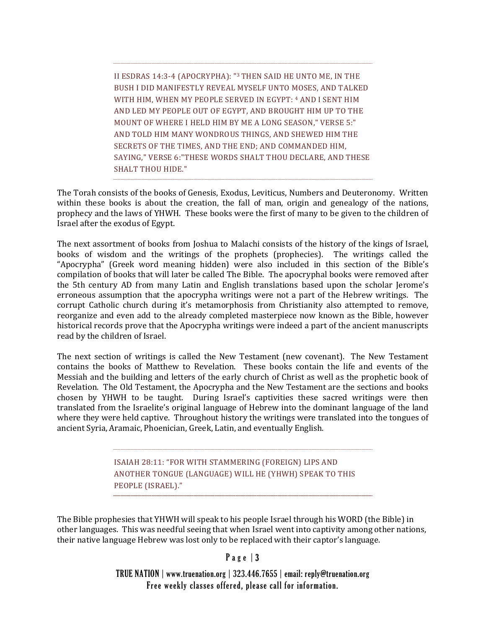II ESDRAS 14:3-4 (APOCRYPHA): "3 THEN SAID HE UNTO ME, IN THE BUSH I DID MANIFESTLY REVEAL MYSELF UNTO MOSES, AND TALKED WITH HIM, WHEN MY PEOPLE SERVED IN EGYPT: 4 AND I SENT HIM AND LED MY PEOPLE OUT OF EGYPT, AND BROUGHT HIM UP TO THE MOUNT OF WHERE I HELD HIM BY ME A LONG SEASON," VERSE 5:" AND TOLD HIM MANY WONDROUS THINGS, AND SHEWED HIM THE SECRETS OF THE TIMES, AND THE END; AND COMMANDED HIM, SAYING," VERSE 6:"THESE WORDS SHALT THOU DECLARE, AND THESE SHALT THOU HIDE."

The Torah consists of the books of Genesis, Exodus, Leviticus, Numbers and Deuteronomy. Written within these books is about the creation, the fall of man, origin and genealogy of the nations, prophecy and the laws of YHWH. These books were the first of many to be given to the children of Israel after the exodus of Egypt.

The next assortment of books from Joshua to Malachi consists of the history of the kings of Israel, books of wisdom and the writings of the prophets (prophecies). The writings called the "Apocrypha" (Greek word meaning hidden) were also included in this section of the Bible's compilation of books that will later be called The Bible. The apocryphal books were removed after the 5th century AD from many Latin and English translations based upon the scholar Jerome's erroneous assumption that the apocrypha writings were not a part of the Hebrew writings. The corrupt Catholic church during it's metamorphosis from Christianity also attempted to remove, reorganize and even add to the already completed masterpiece now known as the Bible, however historical records prove that the Apocrypha writings were indeed a part of the ancient manuscripts read by the children of Israel.

The next section of writings is called the New Testament (new covenant). The New Testament contains the books of Matthew to Revelation. These books contain the life and events of the Messiah and the building and letters of the early church of Christ as well as the prophetic book of Revelation. The Old Testament, the Apocrypha and the New Testament are the sections and books chosen by YHWH to be taught. During Israel's captivities these sacred writings were then translated from the Israelite's original language of Hebrew into the dominant language of the land where they were held captive. Throughout history the writings were translated into the tongues of ancient Syria, Aramaic, Phoenician, Greek, Latin, and eventually English.

> ISAIAH 28:11: "FOR WITH STAMMERING (FOREIGN) LIPS AND ANOTHER TONGUE (LANGUAGE) WILL HE (YHWH) SPEAK TO THIS PEOPLE (ISRAEL)."

The Bible prophesies that YHWH will speak to his people Israel through his WORD (the Bible) in other languages. This was needful seeing that when Israel went into captivity among other nations, their native language Hebrew was lost only to be replaced with their captor's language.

## Page 3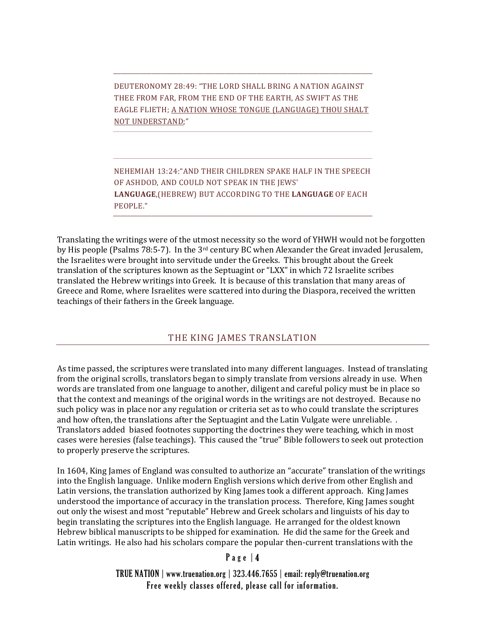DEUTERONOMY 28:49: "THE LORD SHALL BRING A NATION AGAINST THEE FROM FAR, FROM THE END OF THE EARTH, AS SWIFT AS THE EAGLE FLIETH; A NATION WHOSE TONGUE (LANGUAGE) THOU SHALT NOT UNDERSTAND;"

NEHEMIAH 13:24:"AND THEIR CHILDREN SPAKE HALF IN THE SPEECH OF ASHDOD, AND COULD NOT SPEAK IN THE JEWS' **LANGUAGE**,(HEBREW) BUT ACCORDING TO THE **LANGUAGE** OF EACH PEOPLE."

Translating the writings were of the utmost necessity so the word of YHWH would not be forgotten by His people (Psalms 78:5-7). In the 3rd century BC when Alexander the Great invaded Jerusalem, the Israelites were brought into servitude under the Greeks. This brought about the Greek translation of the scriptures known as the Septuagint or "LXX" in which 72 Israelite scribes translated the Hebrew writings into Greek. It is because of this translation that many areas of Greece and Rome, where Israelites were scattered into during the Diaspora, received the written teachings of their fathers in the Greek language.

## THE KING JAMES TRANSLATION

As time passed, the scriptures were translated into many different languages. Instead of translating from the original scrolls, translators began to simply translate from versions already in use. When words are translated from one language to another, diligent and careful policy must be in place so that the context and meanings of the original words in the writings are not destroyed. Because no such policy was in place nor any regulation or criteria set as to who could translate the scriptures and how often, the translations after the Septuagint and the Latin Vulgate were unreliable. . Translators added biased footnotes supporting the doctrines they were teaching, which in most cases were heresies (false teachings). This caused the "true" Bible followers to seek out protection to properly preserve the scriptures.

In 1604, King James of England was consulted to authorize an "accurate" translation of the writings into the English language. Unlike modern English versions which derive from other English and Latin versions, the translation authorized by King James took a different approach. King James understood the importance of accuracy in the translation process. Therefore, King James sought out only the wisest and most "reputable" Hebrew and Greek scholars and linguists of his day to begin translating the scriptures into the English language. He arranged for the oldest known Hebrew biblical manuscripts to be shipped for examination. He did the same for the Greek and Latin writings. He also had his scholars compare the popular then-current translations with the

## Page | 4